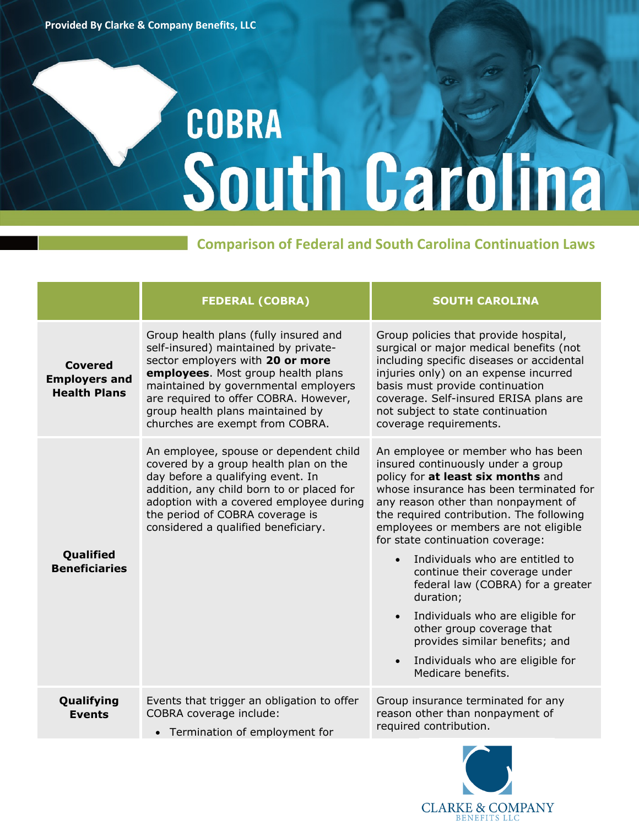## COBRA South Carolina

## **Comparison of Federal and South Carolina Continuation Laws**

|                                                        | <b>FEDERAL (COBRA)</b>                                                                                                                                                                                                                                                                                          | <b>SOUTH CAROLINA</b>                                                                                                                                                                                                                                                                                                                                                                                                                                                                                                                                                                                                     |
|--------------------------------------------------------|-----------------------------------------------------------------------------------------------------------------------------------------------------------------------------------------------------------------------------------------------------------------------------------------------------------------|---------------------------------------------------------------------------------------------------------------------------------------------------------------------------------------------------------------------------------------------------------------------------------------------------------------------------------------------------------------------------------------------------------------------------------------------------------------------------------------------------------------------------------------------------------------------------------------------------------------------------|
| Covered<br><b>Employers and</b><br><b>Health Plans</b> | Group health plans (fully insured and<br>self-insured) maintained by private-<br>sector employers with 20 or more<br>employees. Most group health plans<br>maintained by governmental employers<br>are required to offer COBRA. However,<br>group health plans maintained by<br>churches are exempt from COBRA. | Group policies that provide hospital,<br>surgical or major medical benefits (not<br>including specific diseases or accidental<br>injuries only) on an expense incurred<br>basis must provide continuation<br>coverage. Self-insured ERISA plans are<br>not subject to state continuation<br>coverage requirements.                                                                                                                                                                                                                                                                                                        |
| Qualified<br><b>Beneficiaries</b>                      | An employee, spouse or dependent child<br>covered by a group health plan on the<br>day before a qualifying event. In<br>addition, any child born to or placed for<br>adoption with a covered employee during<br>the period of COBRA coverage is<br>considered a qualified beneficiary.                          | An employee or member who has been<br>insured continuously under a group<br>policy for at least six months and<br>whose insurance has been terminated for<br>any reason other than nonpayment of<br>the required contribution. The following<br>employees or members are not eligible<br>for state continuation coverage:<br>Individuals who are entitled to<br>continue their coverage under<br>federal law (COBRA) for a greater<br>duration;<br>Individuals who are eligible for<br>other group coverage that<br>provides similar benefits; and<br>Individuals who are eligible for<br>$\bullet$<br>Medicare benefits. |
| Qualifying<br><b>Events</b>                            | Events that trigger an obligation to offer<br>COBRA coverage include:                                                                                                                                                                                                                                           | Group insurance terminated for any<br>reason other than nonpayment of<br>required contribution.                                                                                                                                                                                                                                                                                                                                                                                                                                                                                                                           |
|                                                        | • Termination of employment for                                                                                                                                                                                                                                                                                 |                                                                                                                                                                                                                                                                                                                                                                                                                                                                                                                                                                                                                           |

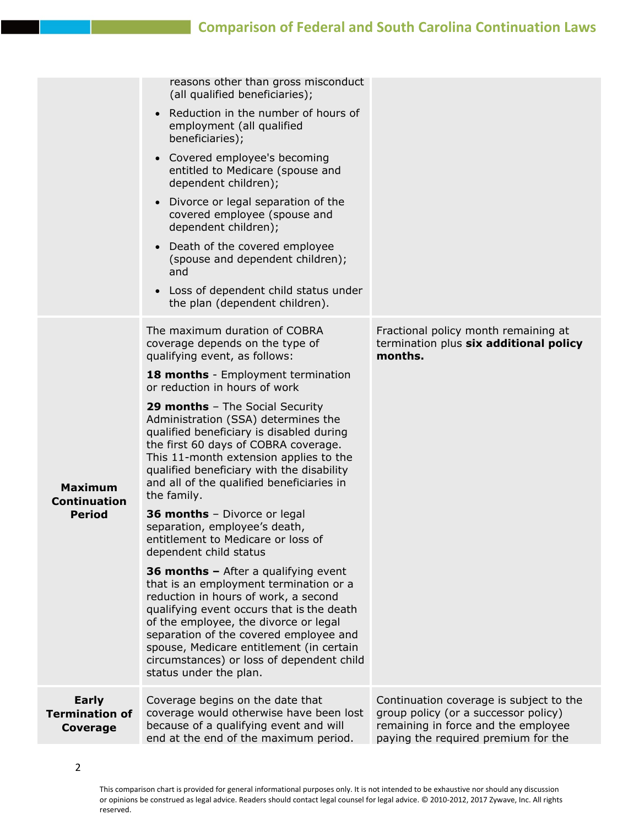## **Comparison of Federal and South Carolina Continuation Laws**

|                                                        | reasons other than gross misconduct<br>(all qualified beneficiaries);                                                                                                                                                                                                                                                                                                     |                                                                                                                                                               |
|--------------------------------------------------------|---------------------------------------------------------------------------------------------------------------------------------------------------------------------------------------------------------------------------------------------------------------------------------------------------------------------------------------------------------------------------|---------------------------------------------------------------------------------------------------------------------------------------------------------------|
|                                                        | Reduction in the number of hours of<br>employment (all qualified<br>beneficiaries);                                                                                                                                                                                                                                                                                       |                                                                                                                                                               |
|                                                        | Covered employee's becoming<br>$\bullet$<br>entitled to Medicare (spouse and<br>dependent children);                                                                                                                                                                                                                                                                      |                                                                                                                                                               |
|                                                        | Divorce or legal separation of the<br>$\bullet$<br>covered employee (spouse and<br>dependent children);                                                                                                                                                                                                                                                                   |                                                                                                                                                               |
|                                                        | Death of the covered employee<br>$\bullet$<br>(spouse and dependent children);<br>and                                                                                                                                                                                                                                                                                     |                                                                                                                                                               |
|                                                        | Loss of dependent child status under<br>$\bullet$<br>the plan (dependent children).                                                                                                                                                                                                                                                                                       |                                                                                                                                                               |
| <b>Maximum</b><br><b>Continuation</b><br><b>Period</b> | The maximum duration of COBRA<br>coverage depends on the type of<br>qualifying event, as follows:                                                                                                                                                                                                                                                                         | Fractional policy month remaining at<br>termination plus six additional policy<br>months.                                                                     |
|                                                        | 18 months - Employment termination<br>or reduction in hours of work                                                                                                                                                                                                                                                                                                       |                                                                                                                                                               |
|                                                        | 29 months - The Social Security<br>Administration (SSA) determines the<br>qualified beneficiary is disabled during<br>the first 60 days of COBRA coverage.<br>This 11-month extension applies to the<br>qualified beneficiary with the disability<br>and all of the qualified beneficiaries in<br>the family.                                                             |                                                                                                                                                               |
|                                                        | 36 months - Divorce or legal<br>separation, employee's death,<br>entitlement to Medicare or loss of<br>dependent child status                                                                                                                                                                                                                                             |                                                                                                                                                               |
|                                                        | 36 months - After a qualifying event<br>that is an employment termination or a<br>reduction in hours of work, a second<br>qualifying event occurs that is the death<br>of the employee, the divorce or legal<br>separation of the covered employee and<br>spouse, Medicare entitlement (in certain<br>circumstances) or loss of dependent child<br>status under the plan. |                                                                                                                                                               |
| <b>Early</b><br><b>Termination of</b><br>Coverage      | Coverage begins on the date that<br>coverage would otherwise have been lost<br>because of a qualifying event and will<br>end at the end of the maximum period.                                                                                                                                                                                                            | Continuation coverage is subject to the<br>group policy (or a successor policy)<br>remaining in force and the employee<br>paying the required premium for the |
|                                                        |                                                                                                                                                                                                                                                                                                                                                                           |                                                                                                                                                               |

This comparison chart is provided for general informational purposes only. It is not intended to be exhaustive nor should any discussion or opinions be construed as legal advice. Readers should contact legal counsel for legal advice. © 2010-2012, 2017 Zywave, Inc. All rights reserved.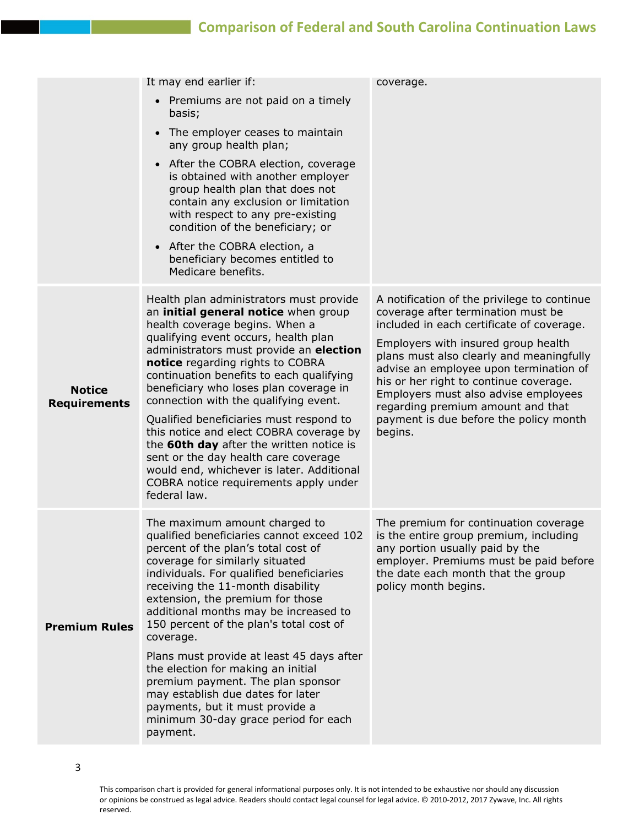## **Comparison of Federal and South Carolina Continuation Laws**

|                                      | It may end earlier if:<br>• Premiums are not paid on a timely<br>basis;<br>The employer ceases to maintain<br>$\bullet$<br>any group health plan;<br>After the COBRA election, coverage<br>$\bullet$<br>is obtained with another employer<br>group health plan that does not<br>contain any exclusion or limitation<br>with respect to any pre-existing<br>condition of the beneficiary; or<br>• After the COBRA election, a<br>beneficiary becomes entitled to<br>Medicare benefits.                                                                                                                                                                   | coverage.                                                                                                                                                                                                                                                                                                                                                                                                                               |
|--------------------------------------|---------------------------------------------------------------------------------------------------------------------------------------------------------------------------------------------------------------------------------------------------------------------------------------------------------------------------------------------------------------------------------------------------------------------------------------------------------------------------------------------------------------------------------------------------------------------------------------------------------------------------------------------------------|-----------------------------------------------------------------------------------------------------------------------------------------------------------------------------------------------------------------------------------------------------------------------------------------------------------------------------------------------------------------------------------------------------------------------------------------|
| <b>Notice</b><br><b>Requirements</b> | Health plan administrators must provide<br>an initial general notice when group<br>health coverage begins. When a<br>qualifying event occurs, health plan<br>administrators must provide an election<br>notice regarding rights to COBRA<br>continuation benefits to each qualifying<br>beneficiary who loses plan coverage in<br>connection with the qualifying event.<br>Qualified beneficiaries must respond to<br>this notice and elect COBRA coverage by<br>the 60th day after the written notice is<br>sent or the day health care coverage<br>would end, whichever is later. Additional<br>COBRA notice requirements apply under<br>federal law. | A notification of the privilege to continue<br>coverage after termination must be<br>included in each certificate of coverage.<br>Employers with insured group health<br>plans must also clearly and meaningfully<br>advise an employee upon termination of<br>his or her right to continue coverage.<br>Employers must also advise employees<br>regarding premium amount and that<br>payment is due before the policy month<br>begins. |
| <b>Premium Rules</b>                 | The maximum amount charged to<br>qualified beneficiaries cannot exceed 102<br>percent of the plan's total cost of<br>coverage for similarly situated<br>individuals. For qualified beneficiaries<br>receiving the 11-month disability<br>extension, the premium for those<br>additional months may be increased to<br>150 percent of the plan's total cost of<br>coverage.<br>Plans must provide at least 45 days after<br>the election for making an initial<br>premium payment. The plan sponsor<br>may establish due dates for later<br>payments, but it must provide a<br>minimum 30-day grace period for each<br>payment.                          | The premium for continuation coverage<br>is the entire group premium, including<br>any portion usually paid by the<br>employer. Premiums must be paid before<br>the date each month that the group<br>policy month begins.                                                                                                                                                                                                              |